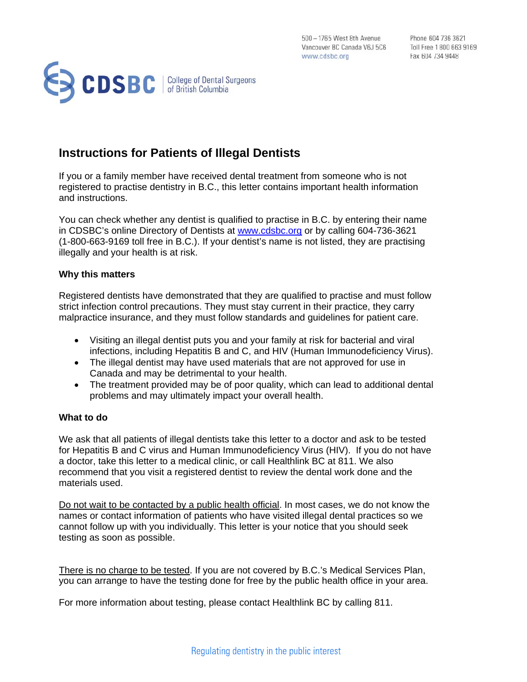500 - 1765 West 8th Avenue 500 - 1765 West 8th Avenue<br>
Vancouver BC Canada V6J 5C6 Toll Free 1800 663 9169 www.cdsbc.org

Phone 604 736 3621 Fax 604 734 9448



# **Instructions for Patients of Illegal Dentists**

If you or a family member have received dental treatment from someone who is not registered to practise dentistry in B.C., this letter contains important health information and instructions.

You can check whether any dentist is qualified to practise in B.C. by entering their name in CDSBC's online Directory of Dentists at www.cdsbc.org or by calling 604-736-3621 (1-800-663-9169 toll free in B.C.). If your dentist's name is not listed, they are practising illegally and your health is at risk.

### **Why this matters**

Registered dentists have demonstrated that they are qualified to practise and must follow strict infection control precautions. They must stay current in their practice, they carry malpractice insurance, and they must follow standards and guidelines for patient care.

- Visiting an illegal dentist puts you and your family at risk for bacterial and viral infections, including Hepatitis B and C, and HIV (Human Immunodeficiency Virus).
- The illegal dentist may have used materials that are not approved for use in Canada and may be detrimental to your health.
- The treatment provided may be of poor quality, which can lead to additional dental problems and may ultimately impact your overall health.

#### **What to do**

We ask that all patients of illegal dentists take this letter to a doctor and ask to be tested for Hepatitis B and C virus and Human Immunodeficiency Virus (HIV). If you do not have a doctor, take this letter to a medical clinic, or call Healthlink BC at 811. We also recommend that you visit a registered dentist to review the dental work done and the materials used.

Do not wait to be contacted by a public health official. In most cases, we do not know the names or contact information of patients who have visited illegal dental practices so we cannot follow up with you individually. This letter is your notice that you should seek testing as soon as possible.

There is no charge to be tested. If you are not covered by B.C.'s Medical Services Plan, you can arrange to have the testing done for free by the public health office in your area.

For more information about testing, please contact Healthlink BC by calling 811.